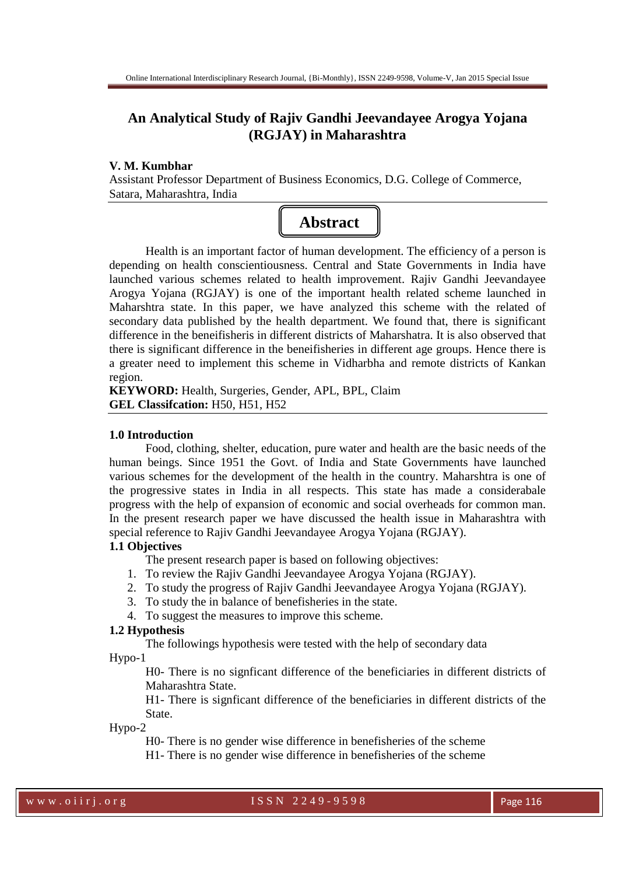# **An Analytical Study of Rajiv Gandhi Jeevandayee Arogya Yojana (RGJAY) in Maharashtra**

#### **V. M. Kumbhar**

Assistant Professor Department of Business Economics, D.G. College of Commerce, Satara, Maharashtra, India

# **Abstract**

 Health is an important factor of human development. The efficiency of a person is depending on health conscientiousness. Central and State Governments in India have launched various schemes related to health improvement. Rajiv Gandhi Jeevandayee Arogya Yojana (RGJAY) is one of the important health related scheme launched in Maharshtra state. In this paper, we have analyzed this scheme with the related of secondary data published by the health department. We found that, there is significant difference in the beneifisheris in different districts of Maharshatra. It is also observed that there is significant difference in the beneifisheries in different age groups. Hence there is a greater need to implement this scheme in Vidharbha and remote districts of Kankan region.

**KEYWORD:** Health, Surgeries, Gender, APL, BPL, Claim **GEL Classifcation:** H50, H51, H52

#### **1.0 Introduction**

 Food, clothing, shelter, education, pure water and health are the basic needs of the human beings. Since 1951 the Govt. of India and State Governments have launched various schemes for the development of the health in the country. Maharshtra is one of the progressive states in India in all respects. This state has made a considerabale progress with the help of expansion of economic and social overheads for common man. In the present research paper we have discussed the health issue in Maharashtra with special reference to Rajiv Gandhi Jeevandayee Arogya Yojana (RGJAY).

## **1.1 Objectives**

The present research paper is based on following objectives:

- 1. To review the Rajiv Gandhi Jeevandayee Arogya Yojana (RGJAY).
- 2. To study the progress of Rajiv Gandhi Jeevandayee Arogya Yojana (RGJAY).
- 3. To study the in balance of benefisheries in the state.
- 4. To suggest the measures to improve this scheme.

#### **1.2 Hypothesis**

The followings hypothesis were tested with the help of secondary data

Hypo-1

H0- There is no signficant difference of the beneficiaries in different districts of Maharashtra State.

H1- There is signficant difference of the beneficiaries in different districts of the State.

Hypo-2

H0- There is no gender wise difference in benefisheries of the scheme

H1- There is no gender wise difference in benefisheries of the scheme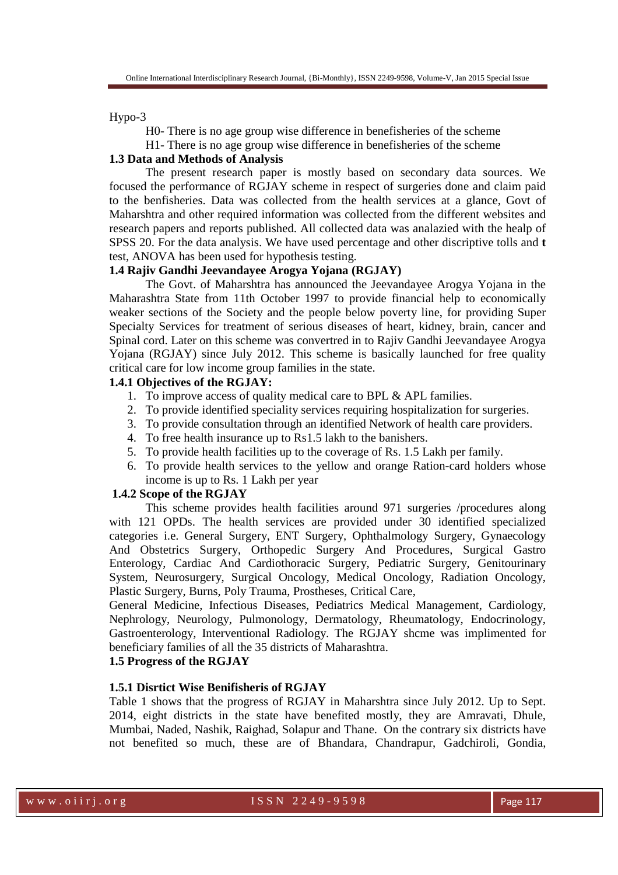Hypo-3

H0- There is no age group wise difference in benefisheries of the scheme

H1- There is no age group wise difference in benefisheries of the scheme

# **1.3 Data and Methods of Analysis**

 The present research paper is mostly based on secondary data sources. We focused the performance of RGJAY scheme in respect of surgeries done and claim paid to the benfisheries. Data was collected from the health services at a glance, Govt of Maharshtra and other required information was collected from the different websites and research papers and reports published. All collected data was analazied with the healp of SPSS 20. For the data analysis. We have used percentage and other discriptive tolls and **t** test, ANOVA has been used for hypothesis testing.

#### **1.4 Rajiv Gandhi Jeevandayee Arogya Yojana (RGJAY)**

 The Govt. of Maharshtra has announced the Jeevandayee Arogya Yojana in the Maharashtra State from 11th October 1997 to provide financial help to economically weaker sections of the Society and the people below poverty line, for providing Super Specialty Services for treatment of serious diseases of heart, kidney, brain, cancer and Spinal cord. Later on this scheme was convertred in to Rajiv Gandhi Jeevandayee Arogya Yojana (RGJAY) since July 2012. This scheme is basically launched for free quality critical care for low income group families in the state.

#### **1.4.1 Objectives of the RGJAY:**

- 1. To improve access of quality medical care to BPL & APL families.
- 2. To provide identified speciality services requiring hospitalization for surgeries.
- 3. To provide consultation through an identified Network of health care providers.
- 4. To free health insurance up to Rs1.5 lakh to the banishers.
- 5. To provide health facilities up to the coverage of Rs. 1.5 Lakh per family.
- 6. To provide health services to the yellow and orange Ration-card holders whose income is up to Rs. 1 Lakh per year

#### **1.4.2 Scope of the RGJAY**

 This scheme provides health facilities around 971 surgeries /procedures along with 121 OPDs. The health services are provided under 30 identified specialized categories i.e. General Surgery, ENT Surgery, Ophthalmology Surgery, Gynaecology And Obstetrics Surgery, Orthopedic Surgery And Procedures, Surgical Gastro Enterology, Cardiac And Cardiothoracic Surgery, Pediatric Surgery, Genitourinary System, Neurosurgery, Surgical Oncology, Medical Oncology, Radiation Oncology, Plastic Surgery, Burns, Poly Trauma, Prostheses, Critical Care,

General Medicine, Infectious Diseases, Pediatrics Medical Management, Cardiology, Nephrology, Neurology, Pulmonology, Dermatology, Rheumatology, Endocrinology, Gastroenterology, Interventional Radiology. The RGJAY shcme was implimented for beneficiary families of all the 35 districts of Maharashtra.

#### **1.5 Progress of the RGJAY**

# **1.5.1 Disrtict Wise Benifisheris of RGJAY**

Table 1 shows that the progress of RGJAY in Maharshtra since July 2012. Up to Sept. 2014, eight districts in the state have benefited mostly, they are Amravati, Dhule, Mumbai, Naded, Nashik, Raighad, Solapur and Thane. On the contrary six districts have not benefited so much, these are of Bhandara, Chandrapur, Gadchiroli, Gondia,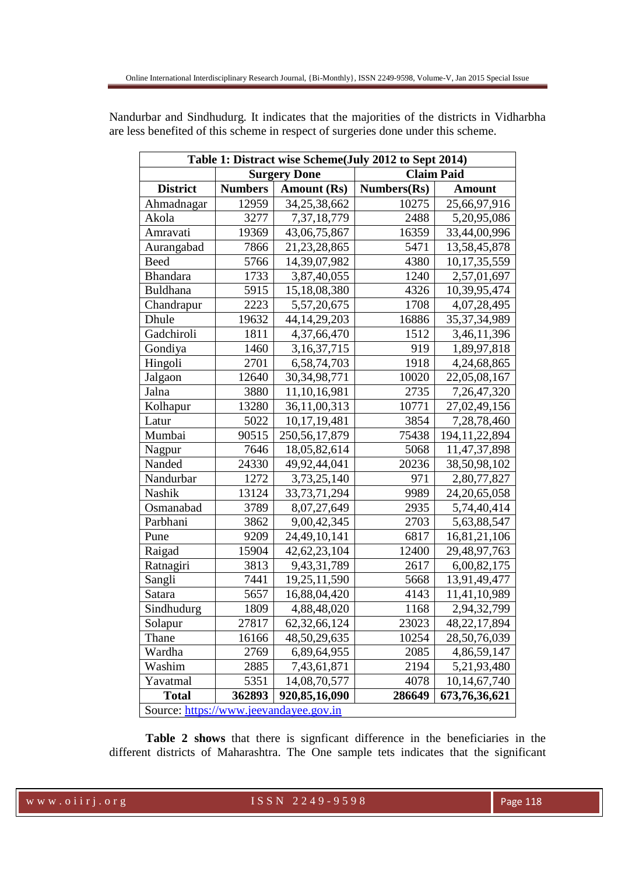| Table 1: Distract wise Scheme(July 2012 to Sept 2014) |                |                    |             |                  |  |
|-------------------------------------------------------|----------------|--------------------|-------------|------------------|--|
| <b>Surgery Done</b><br><b>Claim Paid</b>              |                |                    |             |                  |  |
| <b>District</b>                                       | <b>Numbers</b> | <b>Amount (Rs)</b> | Numbers(Rs) | <b>Amount</b>    |  |
| Ahmadnagar                                            | 12959          | 34,25,38,662       | 10275       | 25,66,97,916     |  |
| Akola                                                 | 3277           | 7,37,18,779        | 2488        | 5,20,95,086      |  |
| Amravati                                              | 19369          | 43,06,75,867       | 16359       | 33,44,00,996     |  |
| Aurangabad                                            | 7866           | 21, 23, 28, 865    | 5471        | 13,58,45,878     |  |
| <b>Beed</b>                                           | 5766           | 14,39,07,982       | 4380        | 10,17,35,559     |  |
| <b>Bhandara</b>                                       | 1733           | 3,87,40,055        | 1240        | 2,57,01,697      |  |
| <b>Buldhana</b>                                       | 5915           | 15,18,08,380       | 4326        | 10,39,95,474     |  |
| Chandrapur                                            | 2223           | 5,57,20,675        | 1708        | 4,07,28,495      |  |
| Dhule                                                 | 19632          | 44, 14, 29, 203    | 16886       | 35, 37, 34, 989  |  |
| Gadchiroli                                            | 1811           | 4,37,66,470        | 1512        | 3,46,11,396      |  |
| Gondiya                                               | 1460           | 3, 16, 37, 715     | 919         | 1,89,97,818      |  |
| Hingoli                                               | 2701           | 6,58,74,703        | 1918        | 4,24,68,865      |  |
| Jalgaon                                               | 12640          | 30, 34, 98, 771    | 10020       | 22,05,08,167     |  |
| Jalna                                                 | 3880           | 11, 10, 16, 981    | 2735        | 7, 26, 47, 320   |  |
| Kolhapur                                              | 13280          | 36,11,00,313       | 10771       | 27,02,49,156     |  |
| Latur                                                 | 5022           | 10,17,19,481       | 3854        | 7,28,78,460      |  |
| Mumbai                                                | 90515          | 250, 56, 17, 879   | 75438       | 194, 11, 22, 894 |  |
| Nagpur                                                | 7646           | 18,05,82,614       | 5068        | 11,47,37,898     |  |
| Nanded                                                | 24330          | 49,92,44,041       | 20236       | 38,50,98,102     |  |
| Nandurbar                                             | 1272           | 3,73,25,140        | 971         | 2,80,77,827      |  |
| Nashik                                                | 13124          | 33, 73, 71, 294    | 9989        | 24, 20, 65, 058  |  |
| Osmanabad                                             | 3789           | 8,07,27,649        | 2935        | 5,74,40,414      |  |
| Parbhani                                              | 3862           | 9,00,42,345        | 2703        | 5,63,88,547      |  |
| Pune                                                  | 9209           | 24,49,10,141       | 6817        | 16,81,21,106     |  |
| Raigad                                                | 15904          | 42, 62, 23, 104    | 12400       | 29,48,97,763     |  |
| Ratnagiri                                             | 3813           | 9,43,31,789        | 2617        | 6,00,82,175      |  |
| Sangli                                                | 7441           | 19,25,11,590       | 5668        | 13,91,49,477     |  |
| Satara                                                | 5657           | 16,88,04,420       | 4143        | 11,41,10,989     |  |
| Sindhudurg                                            | 1809           | 4,88,48,020        | 1168        | 2,94,32,799      |  |
| Solapur                                               | 27817          | 62, 32, 66, 124    | 23023       | 48,22,17,894     |  |
| Thane                                                 | 16166          | 48,50,29,635       | 10254       | 28,50,76,039     |  |
| Wardha                                                | 2769           | 6,89,64,955        | 2085        | 4,86,59,147      |  |
| Washim                                                | 2885           | 7,43,61,871        | 2194        | 5, 21, 93, 480   |  |
| Yavatmal                                              | 5351           | 14,08,70,577       | 4078        | 10,14,67,740     |  |
| <b>Total</b>                                          | 362893         | 920,85,16,090      | 286649      | 673,76,36,621    |  |
| Source: https://www.jeevandayee.gov.in                |                |                    |             |                  |  |

Nandurbar and Sindhudurg. It indicates that the majorities of the districts in Vidharbha are less benefited of this scheme in respect of surgeries done under this scheme.

Source: https://www.jeevandayee.gov.in

**Table 2 shows** that there is signficant difference in the beneficiaries in the different districts of Maharashtra. The One sample tets indicates that the significant

w w w . o i i r j . o r g I S S N 2 2 4 9 - 9 5 9 8 Page 118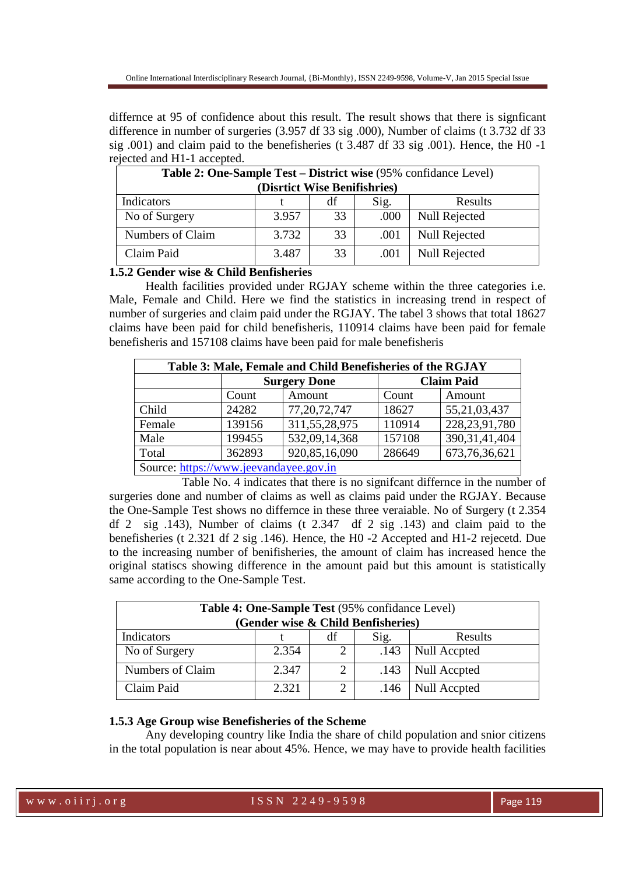differnce at 95 of confidence about this result. The result shows that there is signficant difference in number of surgeries (3.957 df 33 sig .000), Number of claims (t 3.732 df 33 sig .001) and claim paid to the benefisheries (t 3.487 df 33 sig .001). Hence, the H0 -1 rejected and H1-1 accepted.

| Table 2: One-Sample Test – District wise (95% confidance Level) |       |    |      |                      |  |
|-----------------------------------------------------------------|-------|----|------|----------------------|--|
| (Disrtict Wise Benifishries)                                    |       |    |      |                      |  |
| Indicators                                                      |       | df | Sig. | Results              |  |
| No of Surgery                                                   | 3.957 | 33 | .000 | Null Rejected        |  |
| Numbers of Claim                                                | 3.732 | 33 | .001 | <b>Null Rejected</b> |  |
| Claim Paid                                                      | 3.487 | 33 | .001 | <b>Null Rejected</b> |  |

**1.5.2 Gender wise & Child Benfisheries** 

 Health facilities provided under RGJAY scheme within the three categories i.e. Male, Female and Child. Here we find the statistics in increasing trend in respect of number of surgeries and claim paid under the RGJAY. The tabel 3 shows that total 18627 claims have been paid for child benefisheris, 110914 claims have been paid for female benefisheris and 157108 claims have been paid for male benefisheris

| Table 3: Male, Female and Child Benefisheries of the RGJAY |                     |                  |                   |                  |  |
|------------------------------------------------------------|---------------------|------------------|-------------------|------------------|--|
|                                                            | <b>Surgery Done</b> |                  | <b>Claim Paid</b> |                  |  |
|                                                            | Count               | Amount           | Count             | Amount           |  |
| Child                                                      | 24282               | 77, 20, 72, 747  | 18627             | 55, 21, 03, 437  |  |
| Female                                                     | 139156              | 311, 55, 28, 975 | 110914            | 228, 23, 91, 780 |  |
| Male                                                       | 199455              | 532,09,14,368    | 157108            | 390, 31, 41, 404 |  |
| Total                                                      | 362893              | 920, 85, 16, 090 | 286649            | 673, 76, 36, 621 |  |
| Source: https://www.jeevandayee.gov.in                     |                     |                  |                   |                  |  |

 Table No. 4 indicates that there is no signifcant differnce in the number of surgeries done and number of claims as well as claims paid under the RGJAY. Because the One-Sample Test shows no differnce in these three veraiable. No of Surgery (t 2.354 df 2 sig .143), Number of claims (t 2.347 df 2 sig .143) and claim paid to the benefisheries (t 2.321 df 2 sig .146). Hence, the H0 -2 Accepted and H1-2 rejecetd. Due to the increasing number of benifisheries, the amount of claim has increased hence the original statiscs showing difference in the amount paid but this amount is statistically same according to the One-Sample Test.

| Table 4: One-Sample Test (95% confidance Level)<br>(Gender wise & Child Benfisheries) |       |    |      |              |  |
|---------------------------------------------------------------------------------------|-------|----|------|--------------|--|
| Indicators                                                                            |       | df | Sig. | Results      |  |
| No of Surgery                                                                         | 2.354 |    | .143 | Null Accpted |  |
| Numbers of Claim                                                                      | 2.347 | 2  | .143 | Null Accpted |  |
| Claim Paid                                                                            | 2.321 |    | .146 | Null Accpted |  |

### **1.5.3 Age Group wise Benefisheries of the Scheme**

 Any developing country like India the share of child population and snior citizens in the total population is near about 45%. Hence, we may have to provide health facilities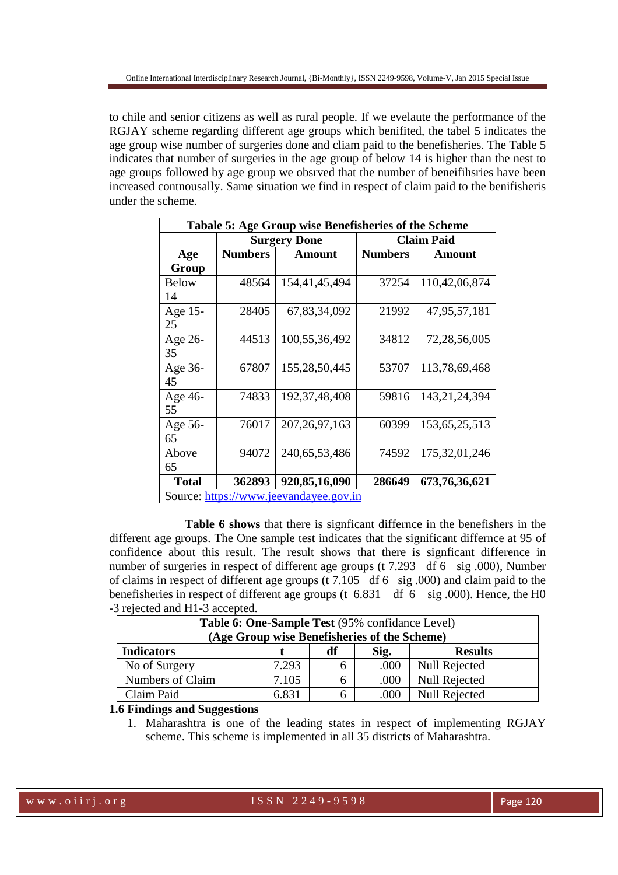to chile and senior citizens as well as rural people. If we evelaute the performance of the RGJAY scheme regarding different age groups which benifited, the tabel 5 indicates the age group wise number of surgeries done and cliam paid to the benefisheries. The Table 5 indicates that number of surgeries in the age group of below 14 is higher than the nest to age groups followed by age group we obsrved that the number of beneifihsries have been increased contnousally. Same situation we find in respect of claim paid to the benifisheris under the scheme.

| Tabale 5: Age Group wise Benefisheries of the Scheme |                |                     |                   |                  |  |
|------------------------------------------------------|----------------|---------------------|-------------------|------------------|--|
|                                                      |                | <b>Surgery Done</b> | <b>Claim Paid</b> |                  |  |
| Age                                                  | <b>Numbers</b> | <b>Amount</b>       | <b>Numbers</b>    | <b>Amount</b>    |  |
| Group                                                |                |                     |                   |                  |  |
| <b>Below</b>                                         | 48564          | 154,41,45,494       | 37254             | 110,42,06,874    |  |
| 14                                                   |                |                     |                   |                  |  |
| Age 15-                                              | 28405          | 67,83,34,092        | 21992             | 47,95,57,181     |  |
| 25                                                   |                |                     |                   |                  |  |
| Age 26-                                              | 44513          | 100,55,36,492       | 34812             | 72,28,56,005     |  |
| 35                                                   |                |                     |                   |                  |  |
| Age 36-                                              | 67807          | 155,28,50,445       | 53707             | 113,78,69,468    |  |
| 45                                                   |                |                     |                   |                  |  |
| Age 46-                                              | 74833          | 192, 37, 48, 408    | 59816             | 143, 21, 24, 394 |  |
| 55                                                   |                |                     |                   |                  |  |
| Age 56-                                              | 76017          | 207, 26, 97, 163    | 60399             | 153, 65, 25, 513 |  |
| 65                                                   |                |                     |                   |                  |  |
| Above                                                | 94072          | 240, 65, 53, 486    | 74592             | 175, 32, 01, 246 |  |
| 65                                                   |                |                     |                   |                  |  |
| <b>Total</b>                                         | 362893         | 920,85,16,090       | 286649            | 673, 76, 36, 621 |  |
| Source: https://www.jeevandayee.gov.in               |                |                     |                   |                  |  |

 **Table 6 shows** that there is signficant differnce in the benefishers in the different age groups. The One sample test indicates that the significant differnce at 95 of confidence about this result. The result shows that there is signficant difference in number of surgeries in respect of different age groups (t 7.293 df 6 sig .000), Number of claims in respect of different age groups (t 7.105 df 6 sig .000) and claim paid to the benefisheries in respect of different age groups (t 6.831 df 6 sig .000). Hence, the H0 -3 rejected and H1-3 accepted.

| Table 6: One-Sample Test (95% confidance Level)   |       |   |      |                      |  |
|---------------------------------------------------|-------|---|------|----------------------|--|
| (Age Group wise Benefisheries of the Scheme)      |       |   |      |                      |  |
| <b>Indicators</b><br>Sig.<br>df<br><b>Results</b> |       |   |      |                      |  |
| No of Surgery                                     | 7.293 | b | .000 | Null Rejected        |  |
| Numbers of Claim                                  | 7.105 | b | .000 | <b>Null Rejected</b> |  |
| Claim Paid                                        | 6.831 | h | .000 | <b>Null Rejected</b> |  |

#### **1.6 Findings and Suggestions**

1. Maharashtra is one of the leading states in respect of implementing RGJAY scheme. This scheme is implemented in all 35 districts of Maharashtra.